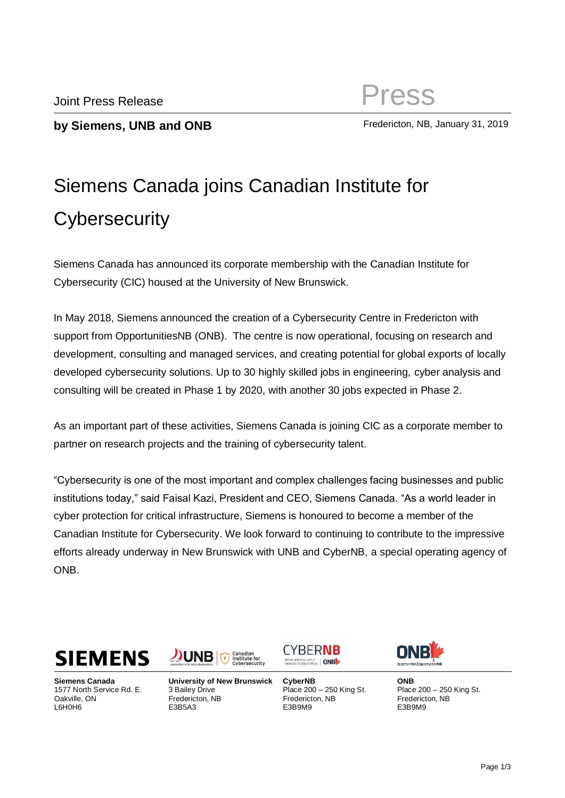**by Siemens, UNB and ONB** Fredericton, NB, January 31, 2019

# Siemens Canada joins Canadian Institute for **Cybersecurity**

Siemens Canada has announced its corporate membership with the Canadian Institute for Cybersecurity (CIC) housed at the University of New Brunswick.

In May 2018, Siemens announced the creation of a Cybersecurity Centre in Fredericton with support from OpportunitiesNB (ONB). The centre is now operational, focusing on research and development, consulting and managed services, and creating potential for global exports of locally developed cybersecurity solutions. Up to 30 highly skilled jobs in engineering, cyber analysis and consulting will be created in Phase 1 by 2020, with another 30 jobs expected in Phase 2.

As an important part of these activities, Siemens Canada is joining CIC as a corporate member to partner on research projects and the training of cybersecurity talent.

"Cybersecurity is one of the most important and complex challenges facing businesses and public institutions today," said Faisal Kazi, President and CEO, Siemens Canada. "As a world leader in cyber protection for critical infrastructure, Siemens is honoured to become a member of the Canadian Institute for Cybersecurity. We look forward to continuing to contribute to the impressive efforts already underway in New Brunswick with UNB and CyberNB, a special operating agency of ONB.



**Siemens Canada** 1577 North Service Rd. E. Oakville, ON L6H0H6



**University of New Brunswick** 3 Bailey Drive Fredericton, NB E3B5A3

**CYBERNB** SPECIAL OPERATING AGENCY | ONB

**CyberNB** Place 200 – 250 King St. Fredericton, NB E3B9M9



**ONB** Place 200 – 250 King St. Fredericton, NB E3B9M9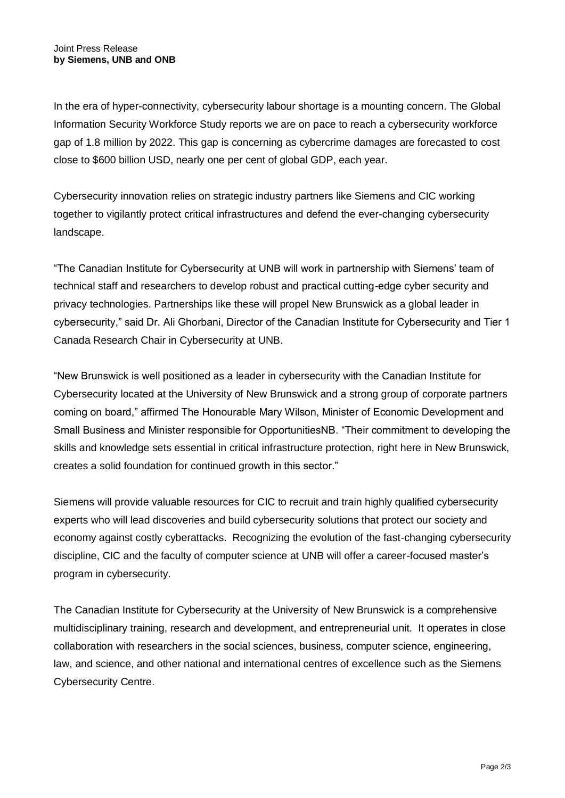In the era of hyper-connectivity, cybersecurity labour shortage is a mounting concern. The Global Information Security Workforce Study reports we are on pace to reach a cybersecurity workforce gap of 1.8 million by 2022. This gap is concerning as cybercrime damages are forecasted to cost close to \$600 billion USD, nearly one per cent of global GDP, each year.

Cybersecurity innovation relies on strategic industry partners like Siemens and CIC working together to vigilantly protect critical infrastructures and defend the ever-changing cybersecurity landscape.

"The Canadian Institute for Cybersecurity at UNB will work in partnership with Siemens' team of technical staff and researchers to develop robust and practical cutting-edge cyber security and privacy technologies. Partnerships like these will propel New Brunswick as a global leader in cybersecurity," said Dr. Ali Ghorbani, Director of the Canadian Institute for Cybersecurity and Tier 1 Canada Research Chair in Cybersecurity at UNB.

"New Brunswick is well positioned as a leader in cybersecurity with the Canadian Institute for Cybersecurity located at the University of New Brunswick and a strong group of corporate partners coming on board," affirmed The Honourable Mary Wilson, Minister of Economic Development and Small Business and Minister responsible for OpportunitiesNB. "Their commitment to developing the skills and knowledge sets essential in critical infrastructure protection, right here in New Brunswick, creates a solid foundation for continued growth in this sector."

Siemens will provide valuable resources for CIC to recruit and train highly qualified cybersecurity experts who will lead discoveries and build cybersecurity solutions that protect our society and economy against costly cyberattacks. Recognizing the evolution of the fast-changing cybersecurity discipline, CIC and the faculty of computer science at UNB will offer a career-focused master's program in cybersecurity.

The Canadian Institute for Cybersecurity at the University of New Brunswick is a comprehensive multidisciplinary training, research and development, and entrepreneurial unit. It operates in close collaboration with researchers in the social sciences, business, computer science, engineering, law, and science, and other national and international centres of excellence such as the Siemens Cybersecurity Centre.